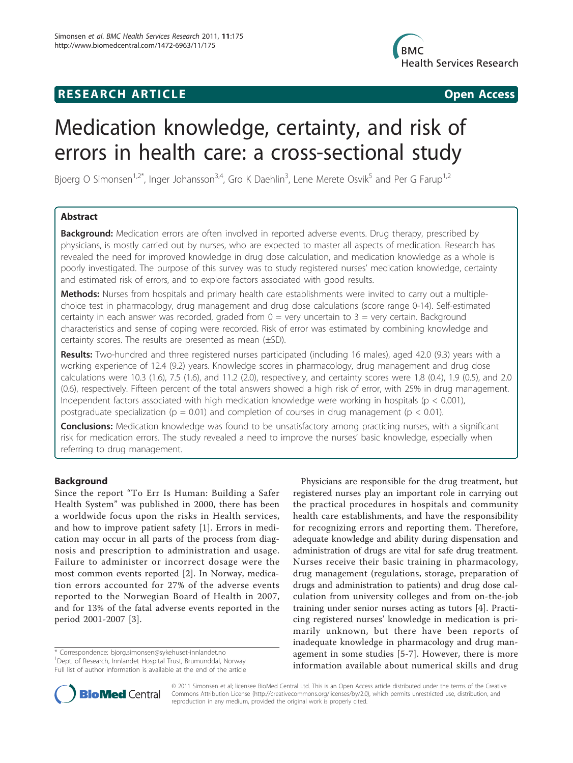## **RESEARCH ARTICLE Example 2018 CONSIDERING ACCESS**



# Medication knowledge, certainty, and risk of errors in health care: a cross-sectional study

Bjoerg O Simonsen<sup>1,2\*</sup>, Inger Johansson<sup>3,4</sup>, Gro K Daehlin<sup>3</sup>, Lene Merete Osvik<sup>5</sup> and Per G Farup<sup>1,2</sup>

## Abstract

**Background:** Medication errors are often involved in reported adverse events. Drug therapy, prescribed by physicians, is mostly carried out by nurses, who are expected to master all aspects of medication. Research has revealed the need for improved knowledge in drug dose calculation, and medication knowledge as a whole is poorly investigated. The purpose of this survey was to study registered nurses' medication knowledge, certainty and estimated risk of errors, and to explore factors associated with good results.

Methods: Nurses from hospitals and primary health care establishments were invited to carry out a multiplechoice test in pharmacology, drug management and drug dose calculations (score range 0-14). Self-estimated certainty in each answer was recorded, graded from  $0 =$  very uncertain to  $3 =$  very certain. Background characteristics and sense of coping were recorded. Risk of error was estimated by combining knowledge and certainty scores. The results are presented as mean (±SD).

Results: Two-hundred and three registered nurses participated (including 16 males), aged 42.0 (9.3) years with a working experience of 12.4 (9.2) years. Knowledge scores in pharmacology, drug management and drug dose calculations were 10.3 (1.6), 7.5 (1.6), and 11.2 (2.0), respectively, and certainty scores were 1.8 (0.4), 1.9 (0.5), and 2.0 (0.6), respectively. Fifteen percent of the total answers showed a high risk of error, with 25% in drug management. Independent factors associated with high medication knowledge were working in hospitals ( $p < 0.001$ ), postgraduate specialization ( $p = 0.01$ ) and completion of courses in drug management ( $p < 0.01$ ).

**Conclusions:** Medication knowledge was found to be unsatisfactory among practicing nurses, with a significant risk for medication errors. The study revealed a need to improve the nurses' basic knowledge, especially when referring to drug management.

## Background

Since the report "To Err Is Human: Building a Safer Health System" was published in 2000, there has been a worldwide focus upon the risks in Health services, and how to improve patient safety [\[1](#page-8-0)]. Errors in medication may occur in all parts of the process from diagnosis and prescription to administration and usage. Failure to administer or incorrect dosage were the most common events reported [[2\]](#page-8-0). In Norway, medication errors accounted for 27% of the adverse events reported to the Norwegian Board of Health in 2007, and for 13% of the fatal adverse events reported in the period 2001-2007 [[3\]](#page-8-0).

\* Correspondence: [bjorg.simonsen@sykehuset-innlandet.no](mailto:bjorg.simonsen@sykehuset-innlandet.no) <sup>1</sup>Dept. of Research, Innlandet Hospital Trust, Brumunddal, Norway

Physicians are responsible for the drug treatment, but registered nurses play an important role in carrying out the practical procedures in hospitals and community health care establishments, and have the responsibility for recognizing errors and reporting them. Therefore, adequate knowledge and ability during dispensation and administration of drugs are vital for safe drug treatment. Nurses receive their basic training in pharmacology, drug management (regulations, storage, preparation of drugs and administration to patients) and drug dose calculation from university colleges and from on-the-job training under senior nurses acting as tutors [\[4](#page-8-0)]. Practicing registered nurses' knowledge in medication is primarily unknown, but there have been reports of inadequate knowledge in pharmacology and drug management in some studies [\[5](#page-8-0)-[7](#page-8-0)]. However, there is more information available about numerical skills and drug



© 2011 Simonsen et al; licensee BioMed Central Ltd. This is an Open Access article distributed under the terms of the Creative Commons Attribution License [\(http://creativecommons.org/licenses/by/2.0](http://creativecommons.org/licenses/by/2.0)), which permits unrestricted use, distribution, and reproduction in any medium, provided the original work is properly cited.

Full list of author information is available at the end of the article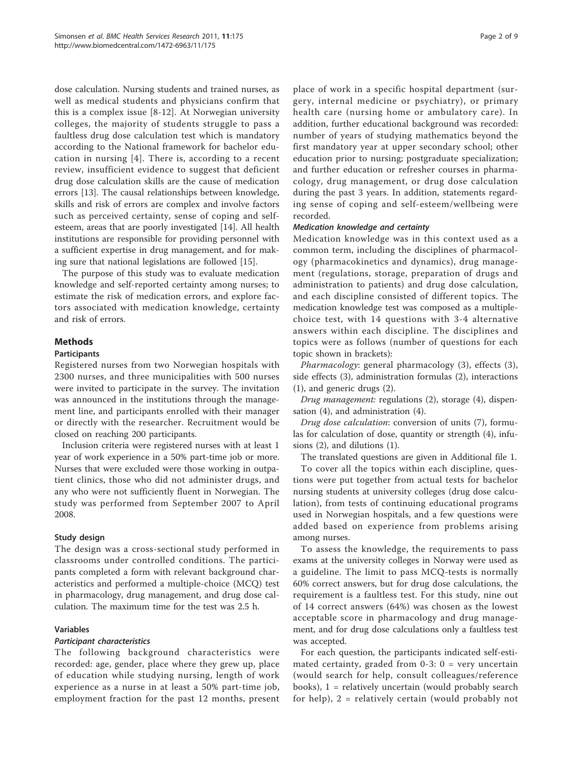dose calculation. Nursing students and trained nurses, as well as medical students and physicians confirm that this is a complex issue [\[8](#page-8-0)-[12](#page-8-0)]. At Norwegian university colleges, the majority of students struggle to pass a faultless drug dose calculation test which is mandatory according to the National framework for bachelor education in nursing [\[4\]](#page-8-0). There is, according to a recent review, insufficient evidence to suggest that deficient drug dose calculation skills are the cause of medication errors [\[13](#page-8-0)]. The causal relationships between knowledge, skills and risk of errors are complex and involve factors such as perceived certainty, sense of coping and selfesteem, areas that are poorly investigated [\[14\]](#page-8-0). All health institutions are responsible for providing personnel with a sufficient expertise in drug management, and for making sure that national legislations are followed [[15](#page-8-0)].

The purpose of this study was to evaluate medication knowledge and self-reported certainty among nurses; to estimate the risk of medication errors, and explore factors associated with medication knowledge, certainty and risk of errors.

## **Methods**

#### **Participants**

Registered nurses from two Norwegian hospitals with 2300 nurses, and three municipalities with 500 nurses were invited to participate in the survey. The invitation was announced in the institutions through the management line, and participants enrolled with their manager or directly with the researcher. Recruitment would be closed on reaching 200 participants.

Inclusion criteria were registered nurses with at least 1 year of work experience in a 50% part-time job or more. Nurses that were excluded were those working in outpatient clinics, those who did not administer drugs, and any who were not sufficiently fluent in Norwegian. The study was performed from September 2007 to April 2008.

### Study design

The design was a cross-sectional study performed in classrooms under controlled conditions. The participants completed a form with relevant background characteristics and performed a multiple-choice (MCQ) test in pharmacology, drug management, and drug dose calculation. The maximum time for the test was 2.5 h.

### Variables

### Participant characteristics

The following background characteristics were recorded: age, gender, place where they grew up, place of education while studying nursing, length of work experience as a nurse in at least a 50% part-time job, employment fraction for the past 12 months, present place of work in a specific hospital department (surgery, internal medicine or psychiatry), or primary health care (nursing home or ambulatory care). In addition, further educational background was recorded: number of years of studying mathematics beyond the first mandatory year at upper secondary school; other education prior to nursing; postgraduate specialization; and further education or refresher courses in pharmacology, drug management, or drug dose calculation during the past 3 years. In addition, statements regarding sense of coping and self-esteem/wellbeing were recorded.

#### Medication knowledge and certainty

Medication knowledge was in this context used as a common term, including the disciplines of pharmacology (pharmacokinetics and dynamics), drug management (regulations, storage, preparation of drugs and administration to patients) and drug dose calculation, and each discipline consisted of different topics. The medication knowledge test was composed as a multiplechoice test, with 14 questions with 3-4 alternative answers within each discipline. The disciplines and topics were as follows (number of questions for each topic shown in brackets):

Pharmacology: general pharmacology (3), effects (3), side effects (3), administration formulas (2), interactions (1), and generic drugs (2).

Drug management: regulations (2), storage (4), dispensation (4), and administration (4).

Drug dose calculation: conversion of units (7), formulas for calculation of dose, quantity or strength (4), infusions (2), and dilutions (1).

The translated questions are given in Additional file [1](#page-8-0).

To cover all the topics within each discipline, questions were put together from actual tests for bachelor nursing students at university colleges (drug dose calculation), from tests of continuing educational programs used in Norwegian hospitals, and a few questions were added based on experience from problems arising among nurses.

To assess the knowledge, the requirements to pass exams at the university colleges in Norway were used as a guideline. The limit to pass MCQ-tests is normally 60% correct answers, but for drug dose calculations, the requirement is a faultless test. For this study, nine out of 14 correct answers (64%) was chosen as the lowest acceptable score in pharmacology and drug management, and for drug dose calculations only a faultless test was accepted.

For each question, the participants indicated self-estimated certainty, graded from  $0-3$ :  $0 = \text{very uncertain}$ (would search for help, consult colleagues/reference books),  $1$  = relatively uncertain (would probably search for help), 2 = relatively certain (would probably not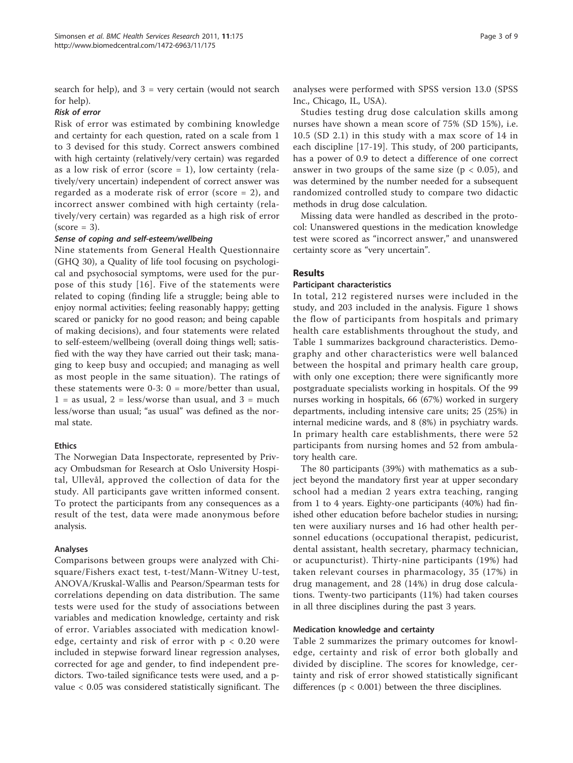search for help), and  $3 =$  very certain (would not search for help).

## Risk of error

Risk of error was estimated by combining knowledge and certainty for each question, rated on a scale from 1 to 3 devised for this study. Correct answers combined with high certainty (relatively/very certain) was regarded as a low risk of error (score  $= 1$ ), low certainty (relatively/very uncertain) independent of correct answer was regarded as a moderate risk of error (score = 2), and incorrect answer combined with high certainty (relatively/very certain) was regarded as a high risk of error  $\text{(score = 3)}.$ 

#### Sense of coping and self-esteem/wellbeing

Nine statements from General Health Questionnaire (GHQ 30), a Quality of life tool focusing on psychological and psychosocial symptoms, were used for the purpose of this study [[16\]](#page-8-0). Five of the statements were related to coping (finding life a struggle; being able to enjoy normal activities; feeling reasonably happy; getting scared or panicky for no good reason; and being capable of making decisions), and four statements were related to self-esteem/wellbeing (overall doing things well; satisfied with the way they have carried out their task; managing to keep busy and occupied; and managing as well as most people in the same situation). The ratings of these statements were  $0-3$ :  $0 = more/b$ etter than usual,  $1 =$  as usual,  $2 =$  less/worse than usual, and  $3 =$  much less/worse than usual; "as usual" was defined as the normal state.

### **Ethics**

The Norwegian Data Inspectorate, represented by Privacy Ombudsman for Research at Oslo University Hospital, Ullevål, approved the collection of data for the study. All participants gave written informed consent. To protect the participants from any consequences as a result of the test, data were made anonymous before analysis.

#### Analyses

Comparisons between groups were analyzed with Chisquare/Fishers exact test, t-test/Mann-Witney U-test, ANOVA/Kruskal-Wallis and Pearson/Spearman tests for correlations depending on data distribution. The same tests were used for the study of associations between variables and medication knowledge, certainty and risk of error. Variables associated with medication knowledge, certainty and risk of error with  $p < 0.20$  were included in stepwise forward linear regression analyses, corrected for age and gender, to find independent predictors. Two-tailed significance tests were used, and a pvalue < 0.05 was considered statistically significant. The analyses were performed with SPSS version 13.0 (SPSS Inc., Chicago, IL, USA).

Studies testing drug dose calculation skills among nurses have shown a mean score of 75% (SD 15%), i.e. 10.5 (SD 2.1) in this study with a max score of 14 in each discipline [[17-19\]](#page-8-0). This study, of 200 participants, has a power of 0.9 to detect a difference of one correct answer in two groups of the same size ( $p < 0.05$ ), and was determined by the number needed for a subsequent randomized controlled study to compare two didactic methods in drug dose calculation.

Missing data were handled as described in the protocol: Unanswered questions in the medication knowledge test were scored as "incorrect answer," and unanswered certainty score as "very uncertain".

## Results

#### Participant characteristics

In total, 212 registered nurses were included in the study, and 203 included in the analysis. Figure [1](#page-3-0) shows the flow of participants from hospitals and primary health care establishments throughout the study, and Table [1](#page-4-0) summarizes background characteristics. Demography and other characteristics were well balanced between the hospital and primary health care group, with only one exception; there were significantly more postgraduate specialists working in hospitals. Of the 99 nurses working in hospitals, 66 (67%) worked in surgery departments, including intensive care units; 25 (25%) in internal medicine wards, and 8 (8%) in psychiatry wards. In primary health care establishments, there were 52 participants from nursing homes and 52 from ambulatory health care.

The 80 participants (39%) with mathematics as a subject beyond the mandatory first year at upper secondary school had a median 2 years extra teaching, ranging from 1 to 4 years. Eighty-one participants (40%) had finished other education before bachelor studies in nursing; ten were auxiliary nurses and 16 had other health personnel educations (occupational therapist, pedicurist, dental assistant, health secretary, pharmacy technician, or acupuncturist). Thirty-nine participants (19%) had taken relevant courses in pharmacology, 35 (17%) in drug management, and 28 (14%) in drug dose calculations. Twenty-two participants (11%) had taken courses in all three disciplines during the past 3 years.

#### Medication knowledge and certainty

Table [2](#page-4-0) summarizes the primary outcomes for knowledge, certainty and risk of error both globally and divided by discipline. The scores for knowledge, certainty and risk of error showed statistically significant differences ( $p < 0.001$ ) between the three disciplines.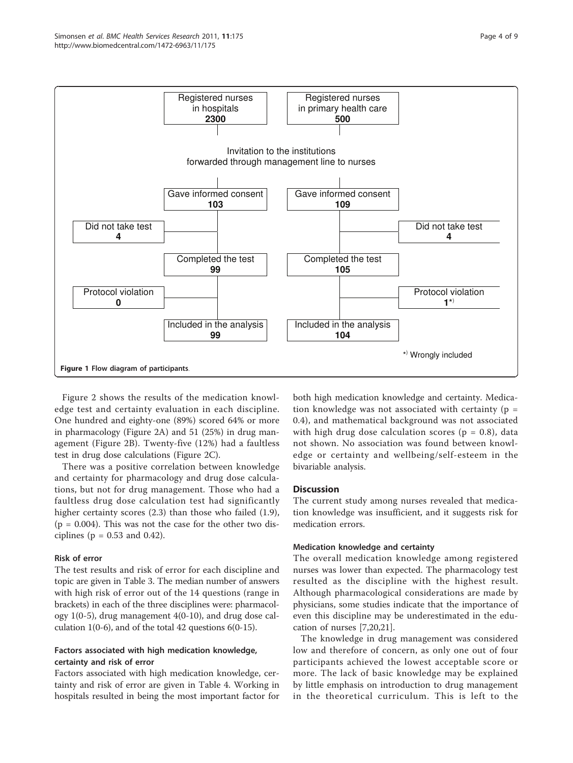<span id="page-3-0"></span>

Figure [2](#page-5-0) shows the results of the medication knowledge test and certainty evaluation in each discipline. One hundred and eighty-one (89%) scored 64% or more in pharmacology (Figure [2A](#page-5-0)) and 51 (25%) in drug management (Figure [2B](#page-5-0)). Twenty-five (12%) had a faultless test in drug dose calculations (Figure [2C\)](#page-5-0).

There was a positive correlation between knowledge and certainty for pharmacology and drug dose calculations, but not for drug management. Those who had a faultless drug dose calculation test had significantly higher certainty scores (2.3) than those who failed (1.9),  $(p = 0.004)$ . This was not the case for the other two disciplines ( $p = 0.53$  and 0.42).

### Risk of error

The test results and risk of error for each discipline and topic are given in Table [3.](#page-6-0) The median number of answers with high risk of error out of the 14 questions (range in brackets) in each of the three disciplines were: pharmacology 1(0-5), drug management 4(0-10), and drug dose calculation 1(0-6), and of the total 42 questions  $6(0-15)$ .

## Factors associated with high medication knowledge, certainty and risk of error

Factors associated with high medication knowledge, certainty and risk of error are given in Table [4.](#page-6-0) Working in hospitals resulted in being the most important factor for both high medication knowledge and certainty. Medication knowledge was not associated with certainty ( $p =$ 0.4), and mathematical background was not associated with high drug dose calculation scores ( $p = 0.8$ ), data not shown. No association was found between knowledge or certainty and wellbeing/self-esteem in the bivariable analysis.

## **Discussion**

The current study among nurses revealed that medication knowledge was insufficient, and it suggests risk for medication errors.

### Medication knowledge and certainty

The overall medication knowledge among registered nurses was lower than expected. The pharmacology test resulted as the discipline with the highest result. Although pharmacological considerations are made by physicians, some studies indicate that the importance of even this discipline may be underestimated in the education of nurses [[7,20,21](#page-8-0)].

The knowledge in drug management was considered low and therefore of concern, as only one out of four participants achieved the lowest acceptable score or more. The lack of basic knowledge may be explained by little emphasis on introduction to drug management in the theoretical curriculum. This is left to the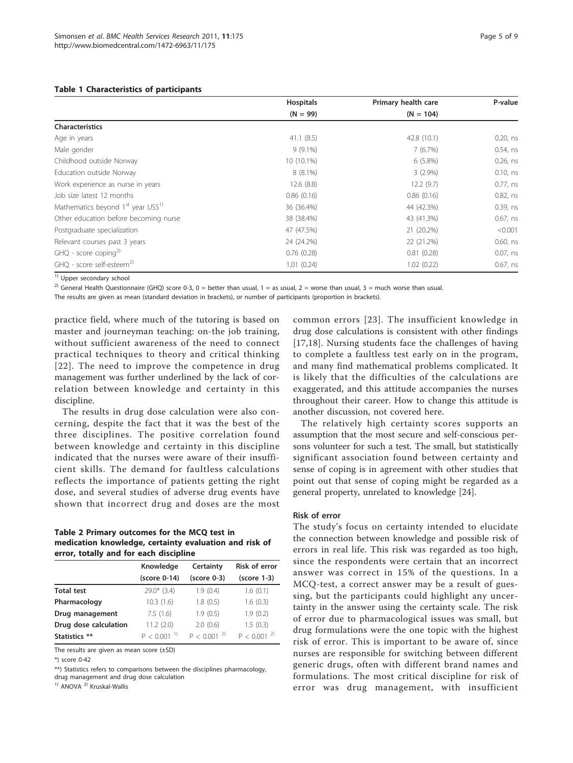| Page 5 of 9 |  |  |  |
|-------------|--|--|--|
|-------------|--|--|--|

<span id="page-4-0"></span>

|                                                           | <b>Hospitals</b> | Primary health care | P-value     |
|-----------------------------------------------------------|------------------|---------------------|-------------|
|                                                           | $(N = 99)$       | $(N = 104)$         |             |
| <b>Characteristics</b>                                    |                  |                     |             |
| Age in years                                              | 41.1(8.5)        | 42.8 (10.1)         | $0.20,$ ns  |
| Male gender                                               | $9(9.1\%)$       | 7(6.7%)             | $0.54$ , ns |
| Childhood outside Norway                                  | 10 (10.1%)       | $6(5.8\%)$          | $0.26$ , ns |
| Education outside Norway                                  | $8(8.1\%)$       | $3(2.9\%)$          | 0.10, ns    |
| Work experience as nurse in years                         | 12.6(8.8)        | 12.2(9.7)           | $0.77$ , ns |
| Job size latest 12 months                                 | 0.86(0.16)       | 0.86(0.16)          | $0.82$ , ns |
| Mathematics beyond 1 <sup>st</sup> year USS <sup>1)</sup> | 36 (36.4%)       | 44 (42.3%)          | 0.39, ns    |
| Other education before becoming nurse                     | 38 (38.4%)       | 43 (41.3%)          | $0.67$ , ns |
| Postgraduate specialization                               | 47 (47.5%)       | 21 (20.2%)          | < 0.001     |
| Relevant courses past 3 years                             | 24 (24.2%)       | 22 (21.2%)          | $0.60$ , ns |
| $GHQ$ - score coping <sup>2)</sup>                        | 0.76(0.28)       | 0.81(0.28)          | $0.07$ , ns |
| GHO - score self-esteem <sup>2)</sup>                     | 1,01(0.24)       | 1.02(0.22)          | $0.67$ , ns |

<sup>1)</sup> Upper secondary school

<sup>2)</sup> General Health Questionnaire (GHQ) score 0-3, 0 = better than usual, 1 = as usual, 2 = worse than usual, 3 = much worse than usual.

The results are given as mean (standard deviation in brackets), or number of participants (proportion in brackets).

practice field, where much of the tutoring is based on master and journeyman teaching: on-the job training, without sufficient awareness of the need to connect practical techniques to theory and critical thinking [[22](#page-8-0)]. The need to improve the competence in drug management was further underlined by the lack of correlation between knowledge and certainty in this discipline.

The results in drug dose calculation were also concerning, despite the fact that it was the best of the three disciplines. The positive correlation found between knowledge and certainty in this discipline indicated that the nurses were aware of their insufficient skills. The demand for faultless calculations reflects the importance of patients getting the right dose, and several studies of adverse drug events have shown that incorrect drug and doses are the most

#### Table 2 Primary outcomes for the MCQ test in medication knowledge, certainty evaluation and risk of error, totally and for each discipline

|                       | Knowledge                 | Certainty       | <b>Risk of error</b> |
|-----------------------|---------------------------|-----------------|----------------------|
|                       | (score 0-14)              | $(score 0-3)$   | $(score 1-3)$        |
| <b>Total test</b>     | $29.0*$ (3.4)             | 1.9(0.4)        | 1.6(0.1)             |
| Pharmacology          | 10.3(1.6)                 | 1.8(0.5)        | 1.6(0.3)             |
| Drug management       | 7.5(1.6)                  | 1.9(0.5)        | 1.9(0.2)             |
| Drug dose calculation | 11.2(2.0)                 | 2.0(0.6)        | 1.5(0.3)             |
| Statistics **         | $P < 0.001$ <sup>1)</sup> | $P < 0.001^{2}$ | $P < 0.001^{2}$      |

The results are given as mean score (±SD)

\*) score 0-42

\*\*) Statistics refers to comparisons between the disciplines pharmacology, drug management and drug dose calculation

<sup>1)</sup> ANOVA<sup>2</sup> Kruskal-Wallis

common errors [[23\]](#page-8-0). The insufficient knowledge in drug dose calculations is consistent with other findings [[17,18](#page-8-0)]. Nursing students face the challenges of having to complete a faultless test early on in the program, and many find mathematical problems complicated. It is likely that the difficulties of the calculations are exaggerated, and this attitude accompanies the nurses throughout their career. How to change this attitude is another discussion, not covered here.

The relatively high certainty scores supports an assumption that the most secure and self-conscious persons volunteer for such a test. The small, but statistically significant association found between certainty and sense of coping is in agreement with other studies that point out that sense of coping might be regarded as a general property, unrelated to knowledge [\[24](#page-8-0)].

#### Risk of error

The study's focus on certainty intended to elucidate the connection between knowledge and possible risk of errors in real life. This risk was regarded as too high, since the respondents were certain that an incorrect answer was correct in 15% of the questions. In a MCQ-test, a correct answer may be a result of guessing, but the participants could highlight any uncertainty in the answer using the certainty scale. The risk of error due to pharmacological issues was small, but drug formulations were the one topic with the highest risk of error. This is important to be aware of, since nurses are responsible for switching between different generic drugs, often with different brand names and formulations. The most critical discipline for risk of error was drug management, with insufficient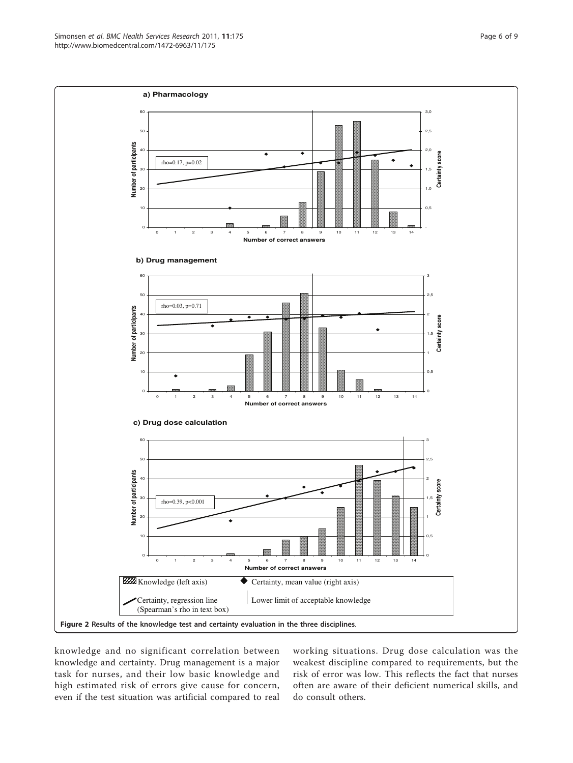<span id="page-5-0"></span>

knowledge and no significant correlation between knowledge and certainty. Drug management is a major task for nurses, and their low basic knowledge and high estimated risk of errors give cause for concern, even if the test situation was artificial compared to real working situations. Drug dose calculation was the weakest discipline compared to requirements, but the risk of error was low. This reflects the fact that nurses often are aware of their deficient numerical skills, and do consult others.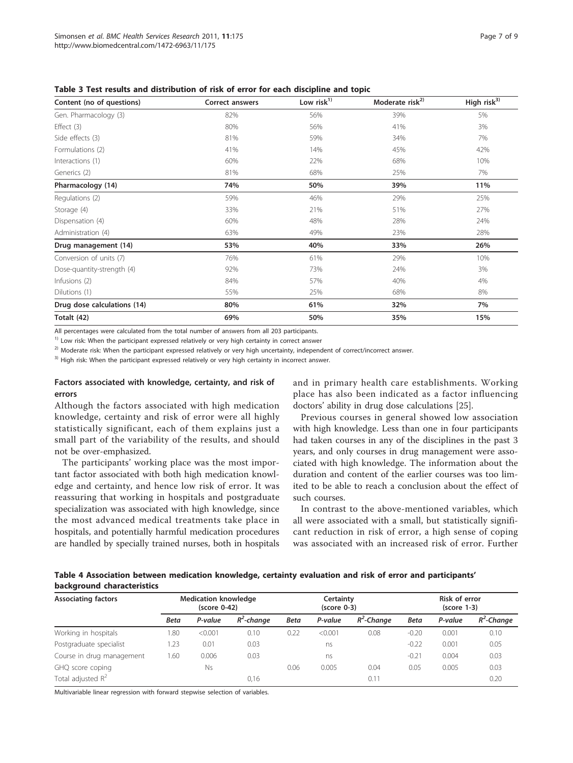| Content (no of questions)   | <b>Correct answers</b> | Low $risk1$ | Moderate risk <sup>2)</sup> | High risk <sup>3)</sup> |  |
|-----------------------------|------------------------|-------------|-----------------------------|-------------------------|--|
| Gen. Pharmacology (3)       | 82%                    | 56%         | 39%                         | 5%                      |  |
| Effect $(3)$                | 80%                    | 56%         | 41%                         | 3%                      |  |
| Side effects (3)            | 81%                    | 59%         | 34%                         | 7%                      |  |
| Formulations (2)            | 41%                    | 14%         | 45%                         | 42%                     |  |
| Interactions (1)            | 60%                    | 22%         | 68%                         | 10%                     |  |
| Generics (2)                | 81%                    | 68%<br>25%  |                             | 7%                      |  |
| Pharmacology (14)           | 74%                    | 50%         | 39%                         | 11%                     |  |
| Regulations (2)             | 59%                    | 46%         | 29%                         | 25%                     |  |
| Storage (4)                 | 33%                    | 21%         | 51%                         | 27%                     |  |
| Dispensation (4)            | 60%                    | 48%         | 28%                         | 24%                     |  |
| Administration (4)          | 63%                    | 49%         | 23%                         | 28%                     |  |
| Drug management (14)        | 53%                    | 40%         | 33%                         | 26%                     |  |
| Conversion of units (7)     | 76%                    | 61%         | 29%                         | 10%                     |  |
| Dose-quantity-strength (4)  | 92%                    | 73%         | 24%                         | 3%                      |  |
| Infusions (2)               | 84%                    | 57%         | 40%                         | 4%                      |  |
| Dilutions (1)               | 55%                    | 25%         | 68%                         | 8%                      |  |
| Drug dose calculations (14) | 80%                    | 61%         | 32%                         | 7%                      |  |
| Totalt (42)                 | 69%                    | 50%         | 35%                         | 15%                     |  |

<span id="page-6-0"></span>Table 3 Test results and distribution of risk of error for each discipline and topic

All percentages were calculated from the total number of answers from all 203 participants.

<sup>1)</sup> Low risk: When the participant expressed relatively or very high certainty in correct answer

<sup>2)</sup> Moderate risk: When the participant expressed relatively or very high uncertainty, independent of correct/incorrect answer.

<sup>3)</sup> High risk: When the participant expressed relatively or very high certainty in incorrect answer.

#### Factors associated with knowledge, certainty, and risk of errors

Although the factors associated with high medication knowledge, certainty and risk of error were all highly statistically significant, each of them explains just a small part of the variability of the results, and should not be over-emphasized.

The participants' working place was the most important factor associated with both high medication knowledge and certainty, and hence low risk of error. It was reassuring that working in hospitals and postgraduate specialization was associated with high knowledge, since the most advanced medical treatments take place in hospitals, and potentially harmful medication procedures are handled by specially trained nurses, both in hospitals and in primary health care establishments. Working place has also been indicated as a factor influencing doctors' ability in drug dose calculations [\[25\]](#page-8-0).

Previous courses in general showed low association with high knowledge. Less than one in four participants had taken courses in any of the disciplines in the past 3 years, and only courses in drug management were associated with high knowledge. The information about the duration and content of the earlier courses was too limited to be able to reach a conclusion about the effect of such courses.

In contrast to the above-mentioned variables, which all were associated with a small, but statistically significant reduction in risk of error, a high sense of coping was associated with an increased risk of error. Further

Table 4 Association between medication knowledge, certainty evaluation and risk of error and participants' background characteristics

| <b>Associating factors</b> |             | <b>Medication knowledge</b><br>$(score 0-42)$ |               |             | Certainty<br>$(score 0-3)$ |               | Risk of error<br>$(score 1-3)$ |         |               |
|----------------------------|-------------|-----------------------------------------------|---------------|-------------|----------------------------|---------------|--------------------------------|---------|---------------|
|                            | <b>Beta</b> | P-value                                       | $R^2$ -change | <b>Beta</b> | P-value                    | $R^2$ -Chanae | <b>Beta</b>                    | P-value | $R^2$ -Change |
| Working in hospitals       | .80         | < 0.001                                       | 0.10          | 0.22        | < 0.001                    | 0.08          | $-0.20$                        | 0.001   | 0.10          |
| Postgraduate specialist    | .23         | 0.01                                          | 0.03          |             | ns                         |               | $-0.22$                        | 0.001   | 0.05          |
| Course in drug management  | .60         | 0.006                                         | 0.03          |             | ns                         |               | $-0.21$                        | 0.004   | 0.03          |
| GHQ score coping           |             | <b>Ns</b>                                     |               | 0.06        | 0.005                      | 0.04          | 0.05                           | 0.005   | 0.03          |
| Total adjusted $R^2$       |             |                                               | 0,16          |             |                            | 0.11          |                                |         | 0.20          |

Multivariable linear regression with forward stepwise selection of variables.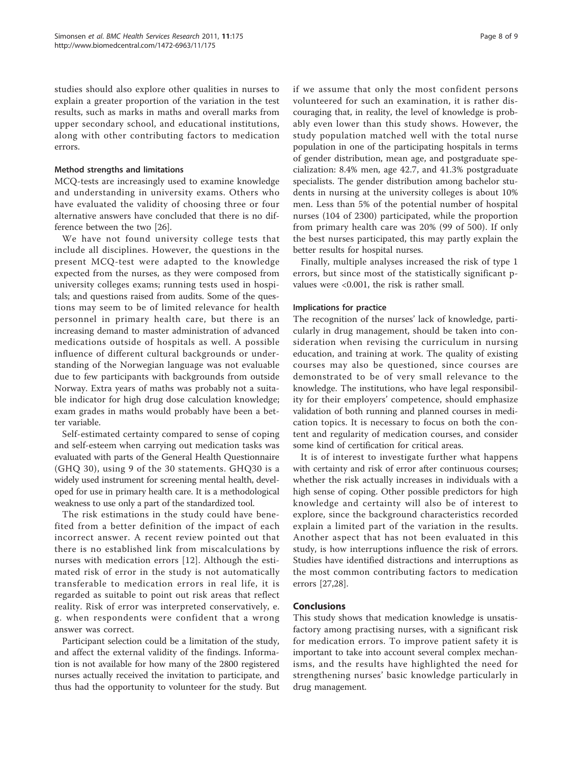studies should also explore other qualities in nurses to explain a greater proportion of the variation in the test results, such as marks in maths and overall marks from upper secondary school, and educational institutions, along with other contributing factors to medication errors.

#### Method strengths and limitations

MCQ-tests are increasingly used to examine knowledge and understanding in university exams. Others who have evaluated the validity of choosing three or four alternative answers have concluded that there is no difference between the two [[26](#page-8-0)].

We have not found university college tests that include all disciplines. However, the questions in the present MCQ-test were adapted to the knowledge expected from the nurses, as they were composed from university colleges exams; running tests used in hospitals; and questions raised from audits. Some of the questions may seem to be of limited relevance for health personnel in primary health care, but there is an increasing demand to master administration of advanced medications outside of hospitals as well. A possible influence of different cultural backgrounds or understanding of the Norwegian language was not evaluable due to few participants with backgrounds from outside Norway. Extra years of maths was probably not a suitable indicator for high drug dose calculation knowledge; exam grades in maths would probably have been a better variable.

Self-estimated certainty compared to sense of coping and self-esteem when carrying out medication tasks was evaluated with parts of the General Health Questionnaire (GHQ 30), using 9 of the 30 statements. GHQ30 is a widely used instrument for screening mental health, developed for use in primary health care. It is a methodological weakness to use only a part of the standardized tool.

The risk estimations in the study could have benefited from a better definition of the impact of each incorrect answer. A recent review pointed out that there is no established link from miscalculations by nurses with medication errors [[12\]](#page-8-0). Although the estimated risk of error in the study is not automatically transferable to medication errors in real life, it is regarded as suitable to point out risk areas that reflect reality. Risk of error was interpreted conservatively, e. g. when respondents were confident that a wrong answer was correct.

Participant selection could be a limitation of the study, and affect the external validity of the findings. Information is not available for how many of the 2800 registered nurses actually received the invitation to participate, and thus had the opportunity to volunteer for the study. But if we assume that only the most confident persons volunteered for such an examination, it is rather discouraging that, in reality, the level of knowledge is probably even lower than this study shows. However, the study population matched well with the total nurse population in one of the participating hospitals in terms of gender distribution, mean age, and postgraduate specialization: 8.4% men, age 42.7, and 41.3% postgraduate specialists. The gender distribution among bachelor students in nursing at the university colleges is about 10% men. Less than 5% of the potential number of hospital nurses (104 of 2300) participated, while the proportion from primary health care was 20% (99 of 500). If only the best nurses participated, this may partly explain the better results for hospital nurses.

Finally, multiple analyses increased the risk of type 1 errors, but since most of the statistically significant pvalues were <0.001, the risk is rather small.

#### Implications for practice

The recognition of the nurses' lack of knowledge, particularly in drug management, should be taken into consideration when revising the curriculum in nursing education, and training at work. The quality of existing courses may also be questioned, since courses are demonstrated to be of very small relevance to the knowledge. The institutions, who have legal responsibility for their employers' competence, should emphasize validation of both running and planned courses in medication topics. It is necessary to focus on both the content and regularity of medication courses, and consider some kind of certification for critical areas.

It is of interest to investigate further what happens with certainty and risk of error after continuous courses; whether the risk actually increases in individuals with a high sense of coping. Other possible predictors for high knowledge and certainty will also be of interest to explore, since the background characteristics recorded explain a limited part of the variation in the results. Another aspect that has not been evaluated in this study, is how interruptions influence the risk of errors. Studies have identified distractions and interruptions as the most common contributing factors to medication errors [\[27,28\]](#page-8-0).

### **Conclusions**

This study shows that medication knowledge is unsatisfactory among practising nurses, with a significant risk for medication errors. To improve patient safety it is important to take into account several complex mechanisms, and the results have highlighted the need for strengthening nurses' basic knowledge particularly in drug management.